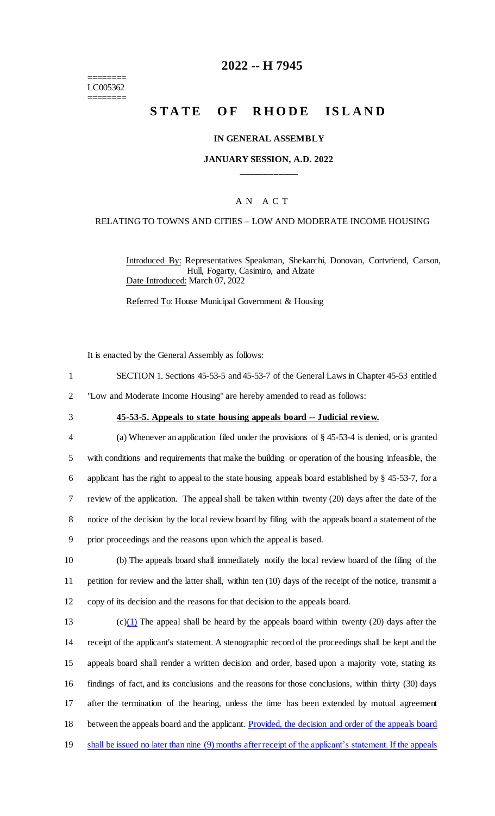======== LC005362 ========

# **2022 -- H 7945**

# **STATE OF RHODE ISLAND**

#### **IN GENERAL ASSEMBLY**

### **JANUARY SESSION, A.D. 2022 \_\_\_\_\_\_\_\_\_\_\_\_**

### A N A C T

#### RELATING TO TOWNS AND CITIES – LOW AND MODERATE INCOME HOUSING

Introduced By: Representatives Speakman, Shekarchi, Donovan, Cortvriend, Carson, Hull, Fogarty, Casimiro, and Alzate Date Introduced: March 07, 2022

Referred To: House Municipal Government & Housing

It is enacted by the General Assembly as follows:

| SECTION 1. Sections 45-53-5 and 45-53-7 of the General Laws in Chapter 45-53 entitled |  |
|---------------------------------------------------------------------------------------|--|
|                                                                                       |  |

2 "Low and Moderate Income Housing" are hereby amended to read as follows:

## 3 **45-53-5. Appeals to state housing appeals board -- Judicial review.**

 (a) Whenever an application filed under the provisions of § 45-53-4 is denied, or is granted with conditions and requirements that make the building or operation of the housing infeasible, the applicant has the right to appeal to the state housing appeals board established by § 45-53-7, for a review of the application. The appeal shall be taken within twenty (20) days after the date of the notice of the decision by the local review board by filing with the appeals board a statement of the prior proceedings and the reasons upon which the appeal is based.

10 (b) The appeals board shall immediately notify the local review board of the filing of the 11 petition for review and the latter shall, within ten (10) days of the receipt of the notice, transmit a 12 copy of its decision and the reasons for that decision to the appeals board.

13 (c) $(1)$  The appeal shall be heard by the appeals board within twenty (20) days after the receipt of the applicant's statement. A stenographic record of the proceedings shall be kept and the appeals board shall render a written decision and order, based upon a majority vote, stating its findings of fact, and its conclusions and the reasons for those conclusions, within thirty (30) days after the termination of the hearing, unless the time has been extended by mutual agreement between the appeals board and the applicant. Provided, the decision and order of the appeals board shall be issued no later than nine (9) months after receipt of the applicant's statement. If the appeals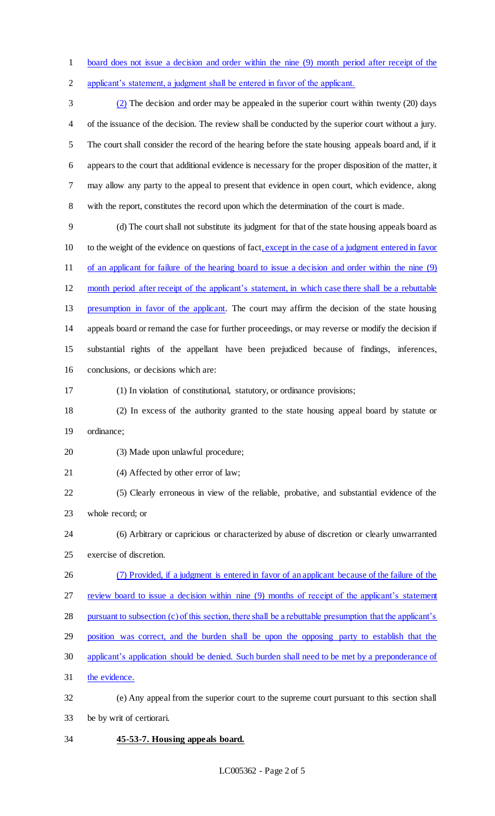board does not issue a decision and order within the nine (9) month period after receipt of the applicant's statement, a judgment shall be entered in favor of the applicant.

 (2) The decision and order may be appealed in the superior court within twenty (20) days of the issuance of the decision. The review shall be conducted by the superior court without a jury. The court shall consider the record of the hearing before the state housing appeals board and, if it appears to the court that additional evidence is necessary for the proper disposition of the matter, it may allow any party to the appeal to present that evidence in open court, which evidence, along with the report, constitutes the record upon which the determination of the court is made.

 (d) The court shall not substitute its judgment for that of the state housing appeals board as to the weight of the evidence on questions of fact, except in the case of a judgment entered in favor of an applicant for failure of the hearing board to issue a decision and order within the nine (9)

 month period after receipt of the applicant's statement, in which case there shall be a rebuttable presumption in favor of the applicant. The court may affirm the decision of the state housing appeals board or remand the case for further proceedings, or may reverse or modify the decision if substantial rights of the appellant have been prejudiced because of findings, inferences, conclusions, or decisions which are:

- (1) In violation of constitutional, statutory, or ordinance provisions;
- (2) In excess of the authority granted to the state housing appeal board by statute or ordinance;
- (3) Made upon unlawful procedure;
- (4) Affected by other error of law;
- (5) Clearly erroneous in view of the reliable, probative, and substantial evidence of the whole record; or
- (6) Arbitrary or capricious or characterized by abuse of discretion or clearly unwarranted exercise of discretion.
- (7) Provided, if a judgment is entered in favor of an applicant because of the failure of the review board to issue a decision within nine (9) months of receipt of the applicant's statement pursuant to subsection (c) of this section, there shall be a rebuttable presumption that the applicant's

position was correct, and the burden shall be upon the opposing party to establish that the

- applicant's application should be denied. Such burden shall need to be met by a preponderance of
- the evidence.
- (e) Any appeal from the superior court to the supreme court pursuant to this section shall be by writ of certiorari.
- **45-53-7. Housing appeals board.**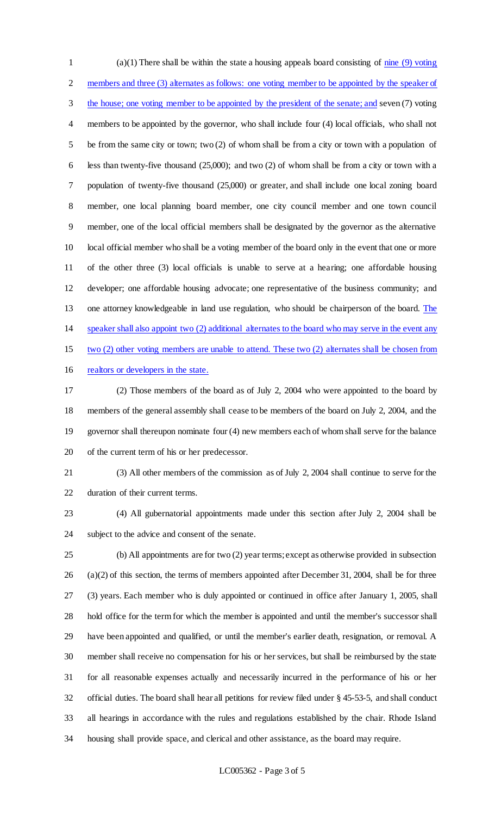(a)(1) There shall be within the state a housing appeals board consisting of nine (9) voting members and three (3) alternates as follows: one voting member to be appointed by the speaker of 3 the house; one voting member to be appointed by the president of the senate; and seven (7) voting members to be appointed by the governor, who shall include four (4) local officials, who shall not be from the same city or town; two (2) of whom shall be from a city or town with a population of less than twenty-five thousand (25,000); and two (2) of whom shall be from a city or town with a population of twenty-five thousand (25,000) or greater, and shall include one local zoning board member, one local planning board member, one city council member and one town council member, one of the local official members shall be designated by the governor as the alternative local official member who shall be a voting member of the board only in the event that one or more of the other three (3) local officials is unable to serve at a hearing; one affordable housing developer; one affordable housing advocate; one representative of the business community; and 13 one attorney knowledgeable in land use regulation, who should be chairperson of the board. The speaker shall also appoint two (2) additional alternates to the board who may serve in the event any two (2) other voting members are unable to attend. These two (2) alternates shall be chosen from realtors or developers in the state.

 (2) Those members of the board as of July 2, 2004 who were appointed to the board by members of the general assembly shall cease to be members of the board on July 2, 2004, and the governor shall thereupon nominate four (4) new members each of whom shall serve for the balance of the current term of his or her predecessor.

 (3) All other members of the commission as of July 2, 2004 shall continue to serve for the duration of their current terms.

 (4) All gubernatorial appointments made under this section after July 2, 2004 shall be subject to the advice and consent of the senate.

 (b) All appointments are for two (2) year terms; except as otherwise provided in subsection (a)(2) of this section, the terms of members appointed after December 31, 2004, shall be for three (3) years. Each member who is duly appointed or continued in office after January 1, 2005, shall hold office for the term for which the member is appointed and until the member's successor shall have been appointed and qualified, or until the member's earlier death, resignation, or removal. A member shall receive no compensation for his or her services, but shall be reimbursed by the state for all reasonable expenses actually and necessarily incurred in the performance of his or her official duties. The board shall hear all petitions for review filed under § 45-53-5, and shall conduct all hearings in accordance with the rules and regulations established by the chair. Rhode Island housing shall provide space, and clerical and other assistance, as the board may require.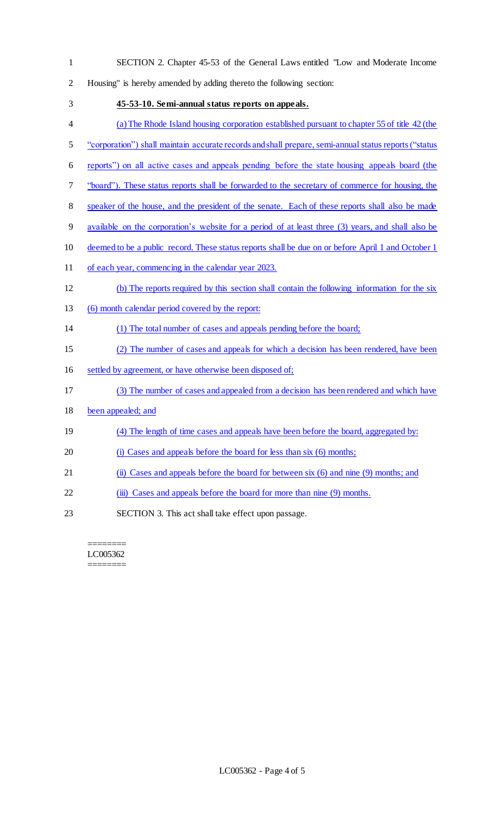SECTION 2. Chapter 45-53 of the General Laws entitled "Low and Moderate Income Housing" is hereby amended by adding thereto the following section: **45-53-10. Semi-annual status reports on appeals.**  (a) The Rhode Island housing corporation established pursuant to chapter 55 of title 42 (the "corporation") shall maintain accurate records and shall prepare, semi-annual status reports("status reports") on all active cases and appeals pending before the state housing appeals board (the "board"). These status reports shall be forwarded to the secretary of commerce for housing, the 8 speaker of the house, and the president of the senate. Each of these reports shall also be made available on the corporation's website for a period of at least three (3) years, and shall also be deemed to be a public record. These status reports shall be due on or before April 1 and October 1 of each year, commencing in the calendar year 2023. (b) The reports required by this section shall contain the following information for the six (6) month calendar period covered by the report: (1) The total number of cases and appeals pending before the board; (2) The number of cases and appeals for which a decision has been rendered, have been settled by agreement, or have otherwise been disposed of; (3) The number of cases and appealed from a decision has been rendered and which have been appealed; and (4) The length of time cases and appeals have been before the board, aggregated by: 20 (i) Cases and appeals before the board for less than six (6) months; (ii) Cases and appeals before the board for between six (6) and nine (9) months; and 22 (iii) Cases and appeals before the board for more than nine (9) months. SECTION 3. This act shall take effect upon passage.

#### ======== LC005362 ========